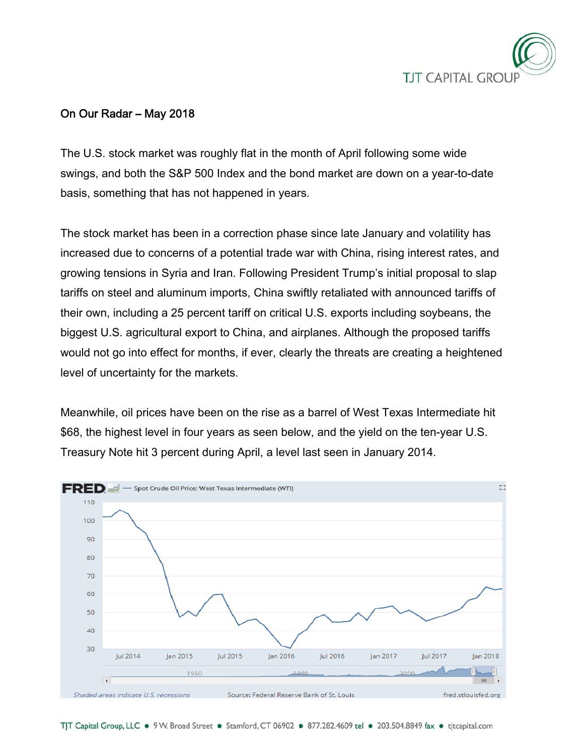

# On Our Radar – May 2018

The U.S. stock market was roughly flat in the month of April following some wide swings, and both the S&P 500 Index and the bond market are down on a year-to-date basis, something that has not happened in years.

The stock market has been in a correction phase since late January and volatility has increased due to concerns of a potential trade war with China, rising interest rates, and growing tensions in Syria and Iran. Following President Trump's initial proposal to slap tariffs on steel and aluminum imports, China swiftly retaliated with announced tariffs of their own, including a 25 percent tariff on critical U.S. exports including soybeans, the biggest U.S. agricultural export to China, and airplanes. Although the proposed tariffs would not go into effect for months, if ever, clearly the threats are creating a heightened level of uncertainty for the markets.

Meanwhile, oil prices have been on the rise as a barrel of West Texas Intermediate hit \$68, the highest level in four years as seen below, and the yield on the ten-year U.S. Treasury Note hit 3 percent during April, a level last seen in January 2014.

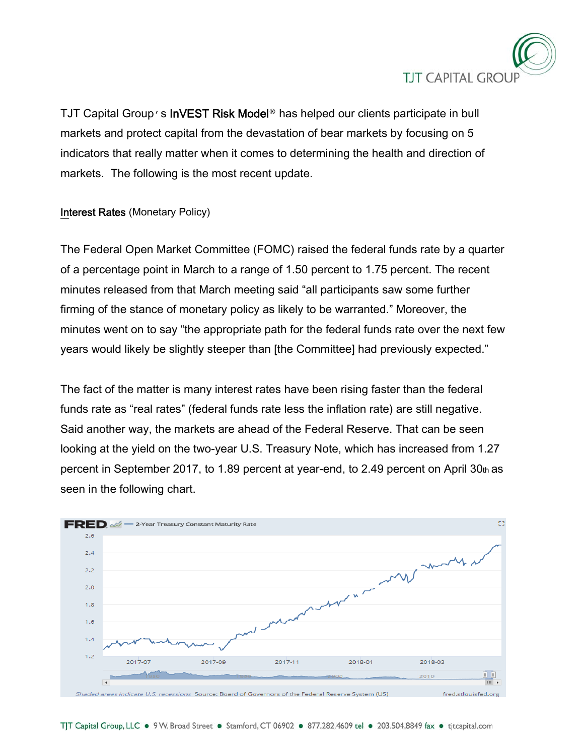

TJT Capital Group's InVEST Risk Model**®** has helped our clients participate in bull markets and protect capital from the devastation of bear markets by focusing on 5 indicators that really matter when it comes to determining the health and direction of markets. The following is the most recent update.

## Interest Rates (Monetary Policy)

The Federal Open Market Committee (FOMC) raised the federal funds rate by a quarter of a percentage point in March to a range of 1.50 percent to 1.75 percent. The recent minutes released from that March meeting said "all participants saw some further firming of the stance of monetary policy as likely to be warranted." Moreover, the minutes went on to say "the appropriate path for the federal funds rate over the next few years would likely be slightly steeper than [the Committee] had previously expected."

The fact of the matter is many interest rates have been rising faster than the federal funds rate as "real rates" (federal funds rate less the inflation rate) are still negative. Said another way, the markets are ahead of the Federal Reserve. That can be seen looking at the yield on the two-year U.S. Treasury Note, which has increased from 1.27 percent in September 2017, to 1.89 percent at year-end, to 2.49 percent on April 30th as seen in the following chart.

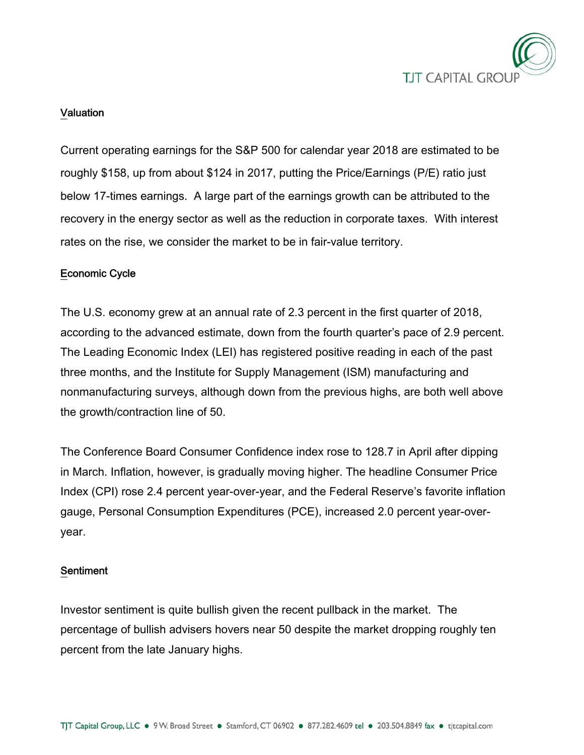

#### Valuation

Current operating earnings for the S&P 500 for calendar year 2018 are estimated to be roughly \$158, up from about \$124 in 2017, putting the Price/Earnings (P/E) ratio just below 17-times earnings. A large part of the earnings growth can be attributed to the recovery in the energy sector as well as the reduction in corporate taxes. With interest rates on the rise, we consider the market to be in fair-value territory.

#### Economic Cycle

The U.S. economy grew at an annual rate of 2.3 percent in the first quarter of 2018, according to the advanced estimate, down from the fourth quarter's pace of 2.9 percent. The Leading Economic Index (LEI) has registered positive reading in each of the past three months, and the Institute for Supply Management (ISM) manufacturing and nonmanufacturing surveys, although down from the previous highs, are both well above the growth/contraction line of 50.

The Conference Board Consumer Confidence index rose to 128.7 in April after dipping in March. Inflation, however, is gradually moving higher. The headline Consumer Price Index (CPI) rose 2.4 percent year-over-year, and the Federal Reserve's favorite inflation gauge, Personal Consumption Expenditures (PCE), increased 2.0 percent year-overyear.

#### Sentiment

Investor sentiment is quite bullish given the recent pullback in the market. The percentage of bullish advisers hovers near 50 despite the market dropping roughly ten percent from the late January highs.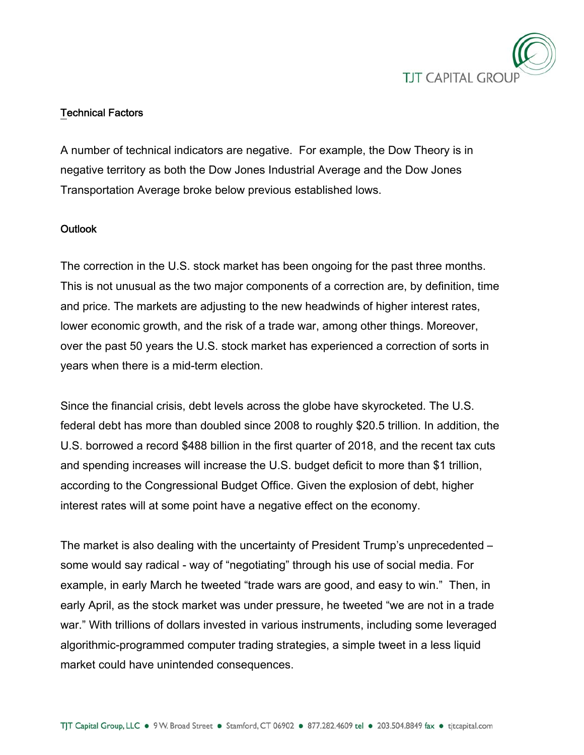

## Technical Factors

A number of technical indicators are negative. For example, the Dow Theory is in negative territory as both the Dow Jones Industrial Average and the Dow Jones Transportation Average broke below previous established lows.

## **Outlook**

The correction in the U.S. stock market has been ongoing for the past three months. This is not unusual as the two major components of a correction are, by definition, time and price. The markets are adjusting to the new headwinds of higher interest rates, lower economic growth, and the risk of a trade war, among other things. Moreover, over the past 50 years the U.S. stock market has experienced a correction of sorts in years when there is a mid-term election.

Since the financial crisis, debt levels across the globe have skyrocketed. The U.S. federal debt has more than doubled since 2008 to roughly \$20.5 trillion. In addition, the U.S. borrowed a record \$488 billion in the first quarter of 2018, and the recent tax cuts and spending increases will increase the U.S. budget deficit to more than \$1 trillion, according to the Congressional Budget Office. Given the explosion of debt, higher interest rates will at some point have a negative effect on the economy.

The market is also dealing with the uncertainty of President Trump's unprecedented – some would say radical - way of "negotiating" through his use of social media. For example, in early March he tweeted "trade wars are good, and easy to win." Then, in early April, as the stock market was under pressure, he tweeted "we are not in a trade war." With trillions of dollars invested in various instruments, including some leveraged algorithmic-programmed computer trading strategies, a simple tweet in a less liquid market could have unintended consequences.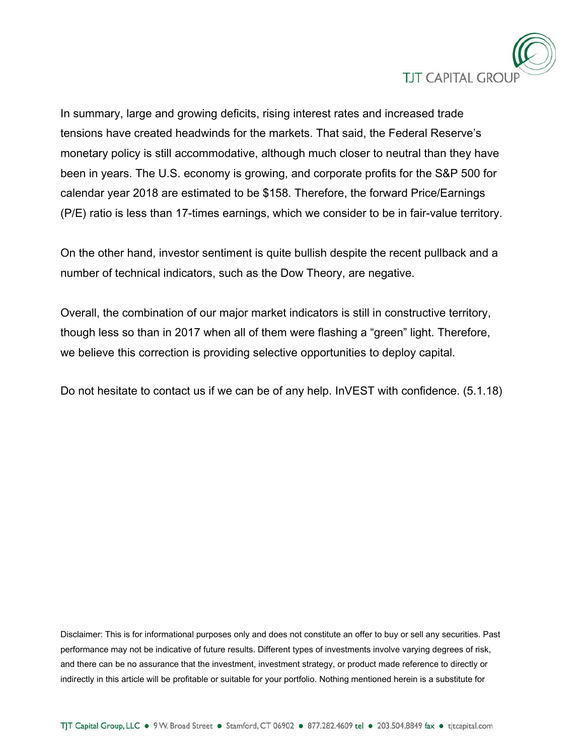

In summary, large and growing deficits, rising interest rates and increased trade tensions have created headwinds for the markets. That said, the Federal Reserve's monetary policy is still accommodative, although much closer to neutral than they have been in years. The U.S. economy is growing, and corporate profits for the S&P 500 for calendar year 2018 are estimated to be \$158. Therefore, the forward Price/Earnings (P/E) ratio is less than 17-times earnings, which we consider to be in fair-value territory.

On the other hand, investor sentiment is quite bullish despite the recent pullback and a number of technical indicators, such as the Dow Theory, are negative.

Overall, the combination of our major market indicators is still in constructive territory, though less so than in 2017 when all of them were flashing a "green" light. Therefore, we believe this correction is providing selective opportunities to deploy capital.

Do not hesitate to contact us if we can be of any help. InVEST with confidence. (5.1.18)

Disclaimer: This is for informational purposes only and does not constitute an offer to buy or sell any securities. Past performance may not be indicative of future results. Different types of investments involve varying degrees of risk, and there can be no assurance that the investment, investment strategy, or product made reference to directly or indirectly in this article will be profitable or suitable for your portfolio. Nothing mentioned herein is a substitute for